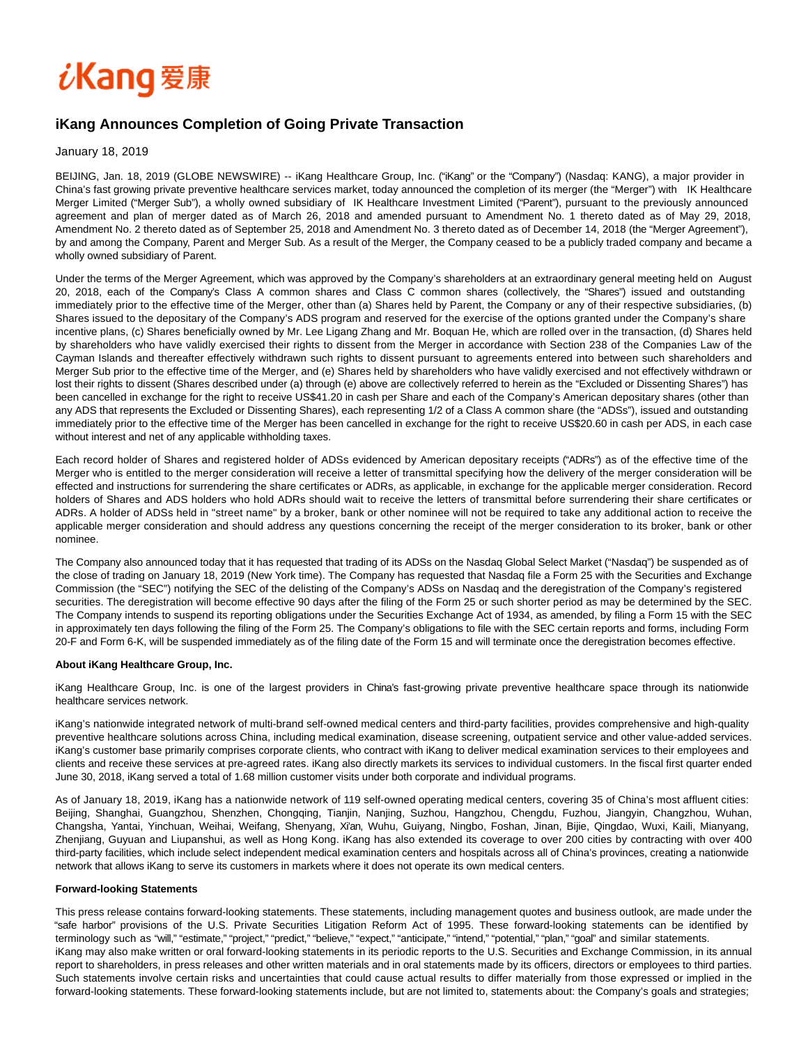# $\it i$ Kang 爱康

## **iKang Announces Completion of Going Private Transaction**

### January 18, 2019

BEIJING, Jan. 18, 2019 (GLOBE NEWSWIRE) -- iKang Healthcare Group, Inc. ("iKang" or the "Company") (Nasdaq: KANG), a major provider in China's fast growing private preventive healthcare services market, today announced the completion of its merger (the "Merger") with IK Healthcare Merger Limited ("Merger Sub"), a wholly owned subsidiary of IK Healthcare Investment Limited ("Parent"), pursuant to the previously announced agreement and plan of merger dated as of March 26, 2018 and amended pursuant to Amendment No. 1 thereto dated as of May 29, 2018, Amendment No. 2 thereto dated as of September 25, 2018 and Amendment No. 3 thereto dated as of December 14, 2018 (the "Merger Agreement"), by and among the Company, Parent and Merger Sub. As a result of the Merger, the Company ceased to be a publicly traded company and became a wholly owned subsidiary of Parent.

Under the terms of the Merger Agreement, which was approved by the Company's shareholders at an extraordinary general meeting held on August 20, 2018, each of the Company's Class A common shares and Class C common shares (collectively, the "Shares") issued and outstanding immediately prior to the effective time of the Merger, other than (a) Shares held by Parent, the Company or any of their respective subsidiaries, (b) Shares issued to the depositary of the Company's ADS program and reserved for the exercise of the options granted under the Company's share incentive plans, (c) Shares beneficially owned by Mr. Lee Ligang Zhang and Mr. Boquan He, which are rolled over in the transaction, (d) Shares held by shareholders who have validly exercised their rights to dissent from the Merger in accordance with Section 238 of the Companies Law of the Cayman Islands and thereafter effectively withdrawn such rights to dissent pursuant to agreements entered into between such shareholders and Merger Sub prior to the effective time of the Merger, and (e) Shares held by shareholders who have validly exercised and not effectively withdrawn or lost their rights to dissent (Shares described under (a) through (e) above are collectively referred to herein as the "Excluded or Dissenting Shares") has been cancelled in exchange for the right to receive US\$41.20 in cash per Share and each of the Company's American depositary shares (other than any ADS that represents the Excluded or Dissenting Shares), each representing 1/2 of a Class A common share (the "ADSs"), issued and outstanding immediately prior to the effective time of the Merger has been cancelled in exchange for the right to receive US\$20.60 in cash per ADS, in each case without interest and net of any applicable withholding taxes.

Each record holder of Shares and registered holder of ADSs evidenced by American depositary receipts ("ADRs") as of the effective time of the Merger who is entitled to the merger consideration will receive a letter of transmittal specifying how the delivery of the merger consideration will be effected and instructions for surrendering the share certificates or ADRs, as applicable, in exchange for the applicable merger consideration. Record holders of Shares and ADS holders who hold ADRs should wait to receive the letters of transmittal before surrendering their share certificates or ADRs. A holder of ADSs held in "street name" by a broker, bank or other nominee will not be required to take any additional action to receive the applicable merger consideration and should address any questions concerning the receipt of the merger consideration to its broker, bank or other nominee.

The Company also announced today that it has requested that trading of its ADSs on the Nasdaq Global Select Market ("Nasdaq") be suspended as of the close of trading on January 18, 2019 (New York time). The Company has requested that Nasdaq file a Form 25 with the Securities and Exchange Commission (the "SEC") notifying the SEC of the delisting of the Company's ADSs on Nasdaq and the deregistration of the Company's registered securities. The deregistration will become effective 90 days after the filing of the Form 25 or such shorter period as may be determined by the SEC. The Company intends to suspend its reporting obligations under the Securities Exchange Act of 1934, as amended, by filing a Form 15 with the SEC in approximately ten days following the filing of the Form 25. The Company's obligations to file with the SEC certain reports and forms, including Form 20-F and Form 6-K, will be suspended immediately as of the filing date of the Form 15 and will terminate once the deregistration becomes effective.

#### **About iKang Healthcare Group, Inc.**

iKang Healthcare Group, Inc. is one of the largest providers in China's fast-growing private preventive healthcare space through its nationwide healthcare services network.

iKang's nationwide integrated network of multi-brand self-owned medical centers and third-party facilities, provides comprehensive and high-quality preventive healthcare solutions across China, including medical examination, disease screening, outpatient service and other value-added services. iKang's customer base primarily comprises corporate clients, who contract with iKang to deliver medical examination services to their employees and clients and receive these services at pre-agreed rates. iKang also directly markets its services to individual customers. In the fiscal first quarter ended June 30, 2018, iKang served a total of 1.68 million customer visits under both corporate and individual programs.

As of January 18, 2019, iKang has a nationwide network of 119 self-owned operating medical centers, covering 35 of China's most affluent cities: Beijing, Shanghai, Guangzhou, Shenzhen, Chongqing, Tianjin, Nanjing, Suzhou, Hangzhou, Chengdu, Fuzhou, Jiangyin, Changzhou, Wuhan, Changsha, Yantai, Yinchuan, Weihai, Weifang, Shenyang, Xi'an, Wuhu, Guiyang, Ningbo, Foshan, Jinan, Bijie, Qingdao, Wuxi, Kaili, Mianyang, Zhenjiang, Guyuan and Liupanshui, as well as Hong Kong. iKang has also extended its coverage to over 200 cities by contracting with over 400 third-party facilities, which include select independent medical examination centers and hospitals across all of China's provinces, creating a nationwide network that allows iKang to serve its customers in markets where it does not operate its own medical centers.

#### **Forward-looking Statements**

This press release contains forward-looking statements. These statements, including management quotes and business outlook, are made under the "safe harbor" provisions of the U.S. Private Securities Litigation Reform Act of 1995. These forward-looking statements can be identified by terminology such as "will," "estimate," "project," "predict," "believe," "expect," "anticipate," "intend," "potential," "plan," "goal" and similar statements. iKang may also make written or oral forward-looking statements in its periodic reports to the U.S. Securities and Exchange Commission, in its annual report to shareholders, in press releases and other written materials and in oral statements made by its officers, directors or employees to third parties. Such statements involve certain risks and uncertainties that could cause actual results to differ materially from those expressed or implied in the forward-looking statements. These forward-looking statements include, but are not limited to, statements about: the Company's goals and strategies;